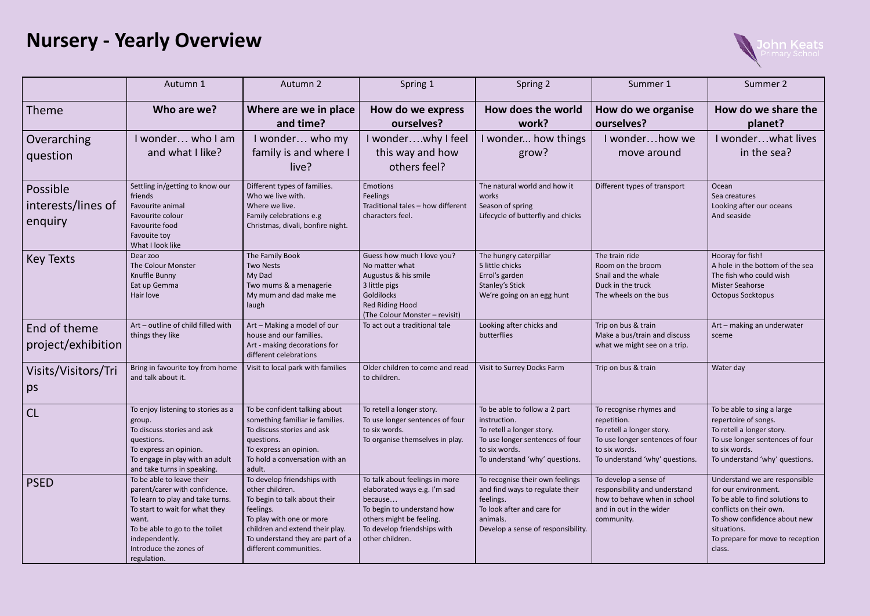## **Nursery - Yearly Overview**

|                                           | Autumn 1                                                                                                                                                                                                                               | Autumn 2                                                                                                                                                                                                                 | Spring 1                                                                                                                                                                              | Spring 2                                                                                                                                                         | Summer 1                                                                                                                                                  | Summer 2                                                                                                                                                                                                         |
|-------------------------------------------|----------------------------------------------------------------------------------------------------------------------------------------------------------------------------------------------------------------------------------------|--------------------------------------------------------------------------------------------------------------------------------------------------------------------------------------------------------------------------|---------------------------------------------------------------------------------------------------------------------------------------------------------------------------------------|------------------------------------------------------------------------------------------------------------------------------------------------------------------|-----------------------------------------------------------------------------------------------------------------------------------------------------------|------------------------------------------------------------------------------------------------------------------------------------------------------------------------------------------------------------------|
| <b>Theme</b>                              | Who are we?                                                                                                                                                                                                                            | Where are we in place<br>and time?                                                                                                                                                                                       | How do we express<br>ourselves?                                                                                                                                                       | How does the world<br>work?                                                                                                                                      | How do we organise<br>ourselves?                                                                                                                          | How do we share the<br>planet?                                                                                                                                                                                   |
| Overarching<br>question                   | I wonder who I am<br>and what I like?                                                                                                                                                                                                  | I wonder who my<br>family is and where I<br>live?                                                                                                                                                                        | I wonderwhy I feel<br>this way and how<br>others feel?                                                                                                                                | I wonder how things<br>grow?                                                                                                                                     | I wonderhow we<br>move around                                                                                                                             | I wonderwhat lives<br>in the sea?                                                                                                                                                                                |
| Possible<br>interests/lines of<br>enquiry | Settling in/getting to know our<br>friends<br>Favourite animal<br>Favourite colour<br>Favourite food<br>Favouite toy<br>What I look like                                                                                               | Different types of families.<br>Who we live with.<br>Where we live.<br>Family celebrations e.g<br>Christmas, divali, bonfire night.                                                                                      | Emotions<br>Feelings<br>Traditional tales - how different<br>characters feel.                                                                                                         | The natural world and how it<br>works<br>Season of spring<br>Lifecycle of butterfly and chicks                                                                   | Different types of transport                                                                                                                              | Ocean<br>Sea creatures<br>Looking after our oceans<br>And seaside                                                                                                                                                |
| <b>Key Texts</b>                          | Dear zoo<br>The Colour Monster<br>Knuffle Bunny<br>Eat up Gemma<br>Hair love                                                                                                                                                           | The Family Book<br><b>Two Nests</b><br>My Dad<br>Two mums & a menagerie<br>My mum and dad make me<br>laugh                                                                                                               | Guess how much I love you?<br>No matter what<br>Augustus & his smile<br>3 little pigs<br>Goldilocks<br>Red Riding Hood<br>(The Colour Monster - revisit)                              | The hungry caterpillar<br>5 little chicks<br>Errol's garden<br><b>Stanley's Stick</b><br>We're going on an egg hunt                                              | The train ride<br>Room on the broom<br>Snail and the whale<br>Duck in the truck<br>The wheels on the bus                                                  | Hooray for fish!<br>A hole in the bottom of the sea<br>The fish who could wish<br>Mister Seahorse<br>Octopus Socktopus                                                                                           |
| End of theme<br>project/exhibition        | Art - outline of child filled with<br>things they like                                                                                                                                                                                 | Art - Making a model of our<br>house and our families.<br>Art - making decorations for<br>different celebrations                                                                                                         | To act out a traditional tale                                                                                                                                                         | Looking after chicks and<br>butterflies                                                                                                                          | Trip on bus & train<br>Make a bus/train and discuss<br>what we might see on a trip.                                                                       | Art - making an underwater<br>sceme                                                                                                                                                                              |
| Visits/Visitors/Tri<br>ps                 | Bring in favourite toy from home<br>and talk about it.                                                                                                                                                                                 | Visit to local park with families                                                                                                                                                                                        | Older children to come and read<br>to children.                                                                                                                                       | Visit to Surrey Docks Farm                                                                                                                                       | Trip on bus & train                                                                                                                                       | Water day                                                                                                                                                                                                        |
| CL                                        | To enjoy listening to stories as a<br>group.<br>To discuss stories and ask<br>questions.<br>To express an opinion.<br>To engage in play with an adult<br>and take turns in speaking.                                                   | To be confident talking about<br>something familiar ie families.<br>To discuss stories and ask<br>questions.<br>To express an opinion.<br>To hold a conversation with an<br>adult.                                       | To retell a longer story.<br>To use longer sentences of four<br>to six words.<br>To organise themselves in play.                                                                      | To be able to follow a 2 part<br>instruction.<br>To retell a longer story.<br>To use longer sentences of four<br>to six words.<br>To understand 'why' questions. | To recognise rhymes and<br>repetition.<br>To retell a longer story.<br>To use longer sentences of four<br>to six words.<br>To understand 'why' questions. | To be able to sing a large<br>repertoire of songs.<br>To retell a longer story.<br>To use longer sentences of four<br>to six words.<br>To understand 'why' questions.                                            |
| <b>PSED</b>                               | To be able to leave their<br>parent/carer with confidence.<br>To learn to play and take turns.<br>To start to wait for what they<br>want.<br>To be able to go to the toilet<br>independently.<br>Introduce the zones of<br>regulation. | To develop friendships with<br>other children.<br>To begin to talk about their<br>feelings.<br>To play with one or more<br>children and extend their play.<br>To understand they are part of a<br>different communities. | To talk about feelings in more<br>elaborated ways e.g. I'm sad<br>because<br>To begin to understand how<br>others might be feeling.<br>To develop friendships with<br>other children. | To recognise their own feelings<br>and find ways to regulate their<br>feelings.<br>To look after and care for<br>animals.<br>Develop a sense of responsibility.  | To develop a sense of<br>responsibility and understand<br>how to behave when in school<br>and in out in the wider<br>community.                           | Understand we are responsible<br>for our environment.<br>To be able to find solutions to<br>conflicts on their own.<br>To show confidence about new<br>situations.<br>To prepare for move to reception<br>class. |